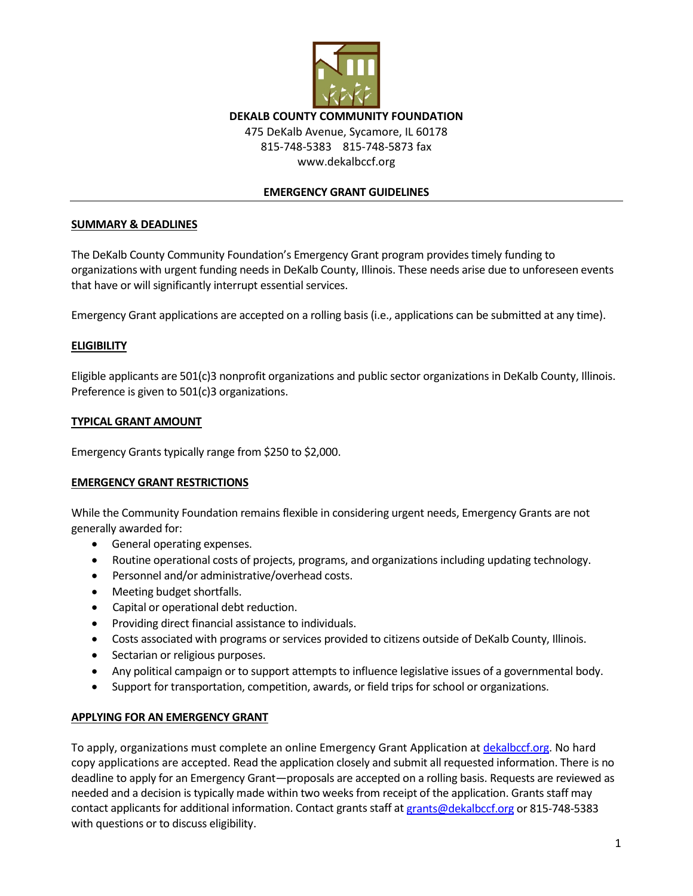

## **DEKALB COUNTY COMMUNITY FOUNDATION** 475 DeKalb Avenue, Sycamore, IL 60178

815-748-5383 815-748-5873 fax

# www.dekalbccf.org

## **EMERGENCY GRANT GUIDELINES**

## **SUMMARY & DEADLINES**

The DeKalb County Community Foundation's Emergency Grant program provides timely funding to organizations with urgent funding needs in DeKalb County, Illinois. These needs arise due to unforeseen events that have or will significantly interrupt essential services.

Emergency Grant applications are accepted on a rolling basis (i.e., applications can be submitted at any time).

# **ELIGIBILITY**

Eligible applicants are 501(c)3 nonprofit organizations and public sector organizations in DeKalb County, Illinois. Preference is given to 501(c)3 organizations.

## **TYPICAL GRANT AMOUNT**

Emergency Grants typically range from \$250 to \$2,000.

## **EMERGENCY GRANT RESTRICTIONS**

While the Community Foundation remains flexible in considering urgent needs, Emergency Grants are not generally awarded for:

- General operating expenses.
- Routine operational costs of projects, programs, and organizations including updating technology.
- Personnel and/or administrative/overhead costs.
- Meeting budget shortfalls.
- Capital or operational debt reduction.
- Providing direct financial assistance to individuals.
- Costs associated with programs or services provided to citizens outside of DeKalb County, Illinois.
- Sectarian or religious purposes.
- Any political campaign or to support attempts to influence legislative issues of a governmental body.
- Support for transportation, competition, awards, or field trips for school or organizations.

## **APPLYING FOR AN EMERGENCY GRANT**

To apply, organizations must complete an online Emergency Grant Application at [dekalbccf.org.](http://www.dekalbccf.org/) No hard copy applications are accepted. Read the application closely and submit all requested information. There is no deadline to apply for an Emergency Grant—proposals are accepted on a rolling basis. Requests are reviewed as needed and a decision is typically made within two weeks from receipt of the application. Grants staff may contact applicants for additional information. Contact grants staff a[t grants@dekalbccf.org](mailto:grants@dekalbccf.org) or 815-748-5383 with questions or to discuss eligibility.